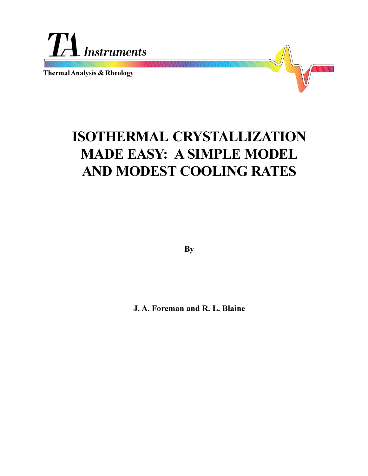

**Thermal Analysis & Rheology**



**By**

**J. A. Foreman and R. L. Blaine**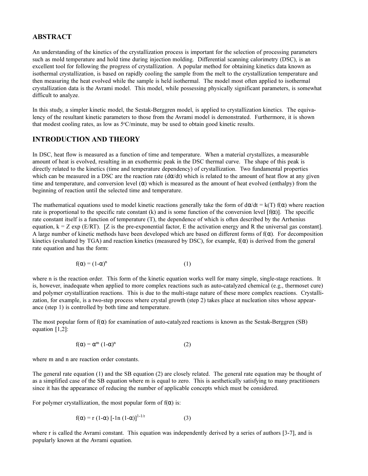## **ABSTRACT**

An understanding of the kinetics of the crystallization process is important for the selection of processing parameters such as mold temperature and hold time during injection molding. Differential scanning calorimetry (DSC), is an excellent tool for following the progress of crystallization. A popular method for obtaining kinetics data known as isothermal crystallization, is based on rapidly cooling the sample from the melt to the crystallization temperature and then measuring the heat evolved while the sample is held isothermal. The model most often applied to isothermal crystallization data is the Avrami model. This model, while possessing physically significant parameters, is somewhat difficult to analyze.

In this study, a simpler kinetic model, the Sestak-Berggren model, is applied to crystallization kinetics. The equivalency of the resultant kinetic parameters to those from the Avrami model is demonstrated. Furthermore, it is shown that modest cooling rates, as low as 5°C/minute, may be used to obtain good kinetic results.

## **INTRODUCTION AND THEORY**

In DSC, heat flow is measured as a function of time and temperature. When a material crystallizes, a measurable amount of heat is evolved, resulting in an exothermic peak in the DSC thermal curve. The shape of this peak is directly related to the kinetics (time and temperature dependency) of crystallization. Two fundamental properties which can be measured in a DSC are the reaction rate  $(d\alpha/dt)$  which is related to the amount of heat flow at any given time and temperature, and conversion level  $(\alpha)$  which is measured as the amount of heat evolved (enthalpy) from the beginning of reaction until the selected time and temperature.

The mathematical equations used to model kinetic reactions generally take the form of  $d\alpha/dt = k(T) f(\alpha)$  where reaction rate is proportional to the specific rate constant  $(k)$  and is some function of the conversion level  $[f(x)]$ . The specific rate constant itself is a function of temperature (T), the dependence of which is often described by the Arrhenius equation,  $k = Z \exp(E/RT)$ . [Z is the pre-exponential factor, E the activation energy and R the universal gas constant]. A large number of kinetic methods have been developed which are based on different forms of  $f(\alpha)$ . For decomposition kinetics (evaluated by TGA) and reaction kinetics (measured by DSC), for example,  $f(\alpha)$  is derived from the general rate equation and has the form:

$$
f(\alpha) = (1 - \alpha)^n \tag{1}
$$

where n is the reaction order. This form of the kinetic equation works well for many simple, single-stage reactions. It is, however, inadequate when applied to more complex reactions such as auto-catalyzed chemical (e.g., thermoset cure) and polymer crystallization reactions. This is due to the multi-stage nature of these more complex reactions. Crystallization, for example, is a two-step process where crystal growth (step 2) takes place at nucleation sites whose appearance (step 1) is controlled by both time and temperature.

The most popular form of  $f(\alpha)$  for examination of auto-catalyzed reactions is known as the Sestak-Berggren (SB) equation [1,2]:

$$
f(\alpha) = \alpha^{m} (1-\alpha)^{n}
$$
 (2)

where m and n are reaction order constants.

The general rate equation (1) and the SB equation (2) are closely related. The general rate equation may be thought of as a simplified case of the SB equation where m is equal to zero. This is aesthetically satisfying to many practitioners since it has the appearance of reducing the number of applicable concepts which must be considered.

For polymer crystallization, the most popular form of  $f(\alpha)$  is:

$$
f(\alpha) = r (1-\alpha) [-ln (1-\alpha)]^{1-1/r}
$$
 (3)

where r is called the Avrami constant. This equation was independently derived by a series of authors [3-7], and is popularly known at the Avrami equation.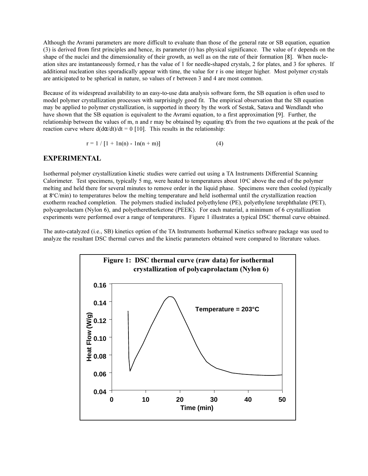Although the Avrami parameters are more difficult to evaluate than those of the general rate or SB equation, equation (3) is derived from first principles and hence, its parameter (r) has physical significance. The value of r depends on the shape of the nuclei and the dimensionality of their growth, as well as on the rate of their formation [8]. When nucleation sites are instantaneously formed, r has the value of 1 for needle-shaped crystals, 2 for plates, and 3 for spheres. If additional nucleation sites sporadically appear with time, the value for r is one integer higher. Most polymer crystals are anticipated to be spherical in nature, so values of r between 3 and 4 are most common.

Because of its widespread availability to an easy-to-use data analysis software form, the SB equation is often used to model polymer crystallization processes with surprisingly good fit. The empirical observation that the SB equation may be applied to polymer crystallization, is supported in theory by the work of Sestak, Satava and Wendlandt who have shown that the SB equation is equivalent to the Avrami equation, to a first approximation [9]. Further, the relationship between the values of m, n and r may be obtained by equating  $\alpha$ 's from the two equations at the peak of the reaction curve where  $d(d\alpha/dt)/dt = 0$  [10]. This results in the relationship:

$$
r = 1 / [1 + ln(n) - ln(n + m)] \tag{4}
$$

#### **EXPERIMENTAL**

Isothermal polymer crystallization kinetic studies were carried out using a TA Instruments Differential Scanning Calorimeter. Test specimens, typically 5 mg, were heated to temperatures about 10°C above the end of the polymer melting and held there for several minutes to remove order in the liquid phase. Specimens were then cooled (typically at 8°C/min) to temperatures below the melting temperature and held isothermal until the crystallization reaction exotherm reached completion. The polymers studied included polyethylene (PE), polyethylene terephthalate (PET), polycaprolactam (Nylon 6), and polyetheretherketone (PEEK). For each material, a minimum of 6 crystallization experiments were performed over a range of temperatures. Figure 1 illustrates a typical DSC thermal curve obtained.

The auto-catalyzed (i.e., SB) kinetics option of the TA Instruments Isothermal Kinetics software package was used to analyze the resultant DSC thermal curves and the kinetic parameters obtained were compared to literature values.

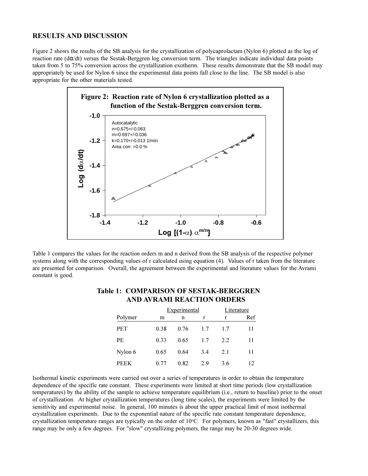#### **RESULTS AND DISCUSSION**

Figure 2 shows the results of the SB analysis for the crystallization of polycaprolactam (Nylon 6) plotted as the log of reaction rate (dα/dt) versus the Sestak-Berggren log conversion term. The triangles indicate individual data points taken from 5 to 75% conversion across the crystallization exotherm. These results demonstrate that the SB model may appropriately be used for Nylon 6 since the experimental data points fall close to the line. The SB model is also appropriate for the other materials tested.



Table 1 compares the values for the reaction orders m and n derived from the SB analysis of the respective polymer systems along with the corresponding values of r calculated using equation (4). Values of r taken from the literature are presented for comparison. Overall, the agreement between the experimental and literature values for the Avrami constant is good.

|             | Experimental |      |     | Literature |     |
|-------------|--------------|------|-----|------------|-----|
| Polymer     | m            | n    | r   | r          | Ref |
| <b>PET</b>  | 0.38         | 0.76 | 1.7 | 1.7        | 11  |
| PE          | 0.33         | 0.65 | 1.7 | 2.2        | 11  |
| Nylon 6     | 0.65         | 0.64 | 3.4 | 2.1        | 11  |
| <b>PEEK</b> | 0.77         | 0.82 | 2.9 | 3.6        | 12  |

## **Table 1: COMPARISON OF SESTAK-BERGGREN AND AVRAMI REACTION ORDERS**

Isothermal kinetic experiments were carried out over a series of temperatures in order to obtain the temperature dependence of the specific rate constant. These experiments were limited at short time periods (low crystallization temperatures) by the ability of the sample to achieve temperature equilibrium (i.e., return to baseline) prior to the onset of crystallization. At higher crystallization temperatures (long time scales), the experiments were limited by the sensitivity and experimental noise. In general, 100 minutes is about the upper practical limit of most isothermal crystallization experiments. Due to the exponential nature of the specific rate constant temperature dependence, crystallization temperature ranges are typically on the order of 10°C. For polymers, known as "fast" crystallizers, this range may be only a few degrees. For "slow" crystallizing polymers, the range may be 20-30 degrees wide.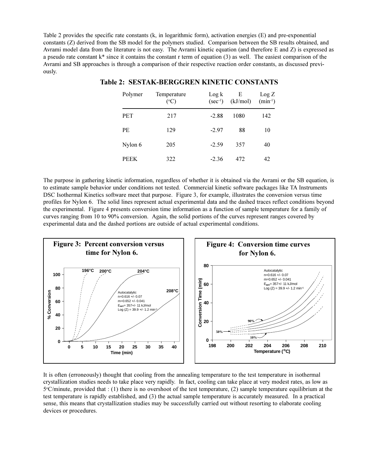Table 2 provides the specific rate constants (k, in logarithmic form), activation energies (E) and pre-exponential constants (Z) derived from the SB model for the polymers studied. Comparison between the SB results obtained, and Avrami model data from the literature is not easy. The Avrami kinetic equation (and therefore E and Z) is expressed as a pseudo rate constant  $k^*$  since it contains the constant r term of equation (3) as well. The easiest comparison of the Avrami and SB approaches is through a comparison of their respective reaction order constants, as discussed previously.

| Polymer     | Temperature<br>$({}^{\circ}C)$ | $\text{Log } k$<br>$(\text{sec}^{-1})$ | E<br>(kJ/mol) | Log Z<br>$(min^{-1})$ |
|-------------|--------------------------------|----------------------------------------|---------------|-----------------------|
| <b>PET</b>  | 217                            | $-2.88$                                | 1080          | 142                   |
| <b>PE</b>   | 129                            | $-2.97$                                | 88            | 10                    |
| Nylon 6     | 205                            | $-2.59$                                | 357           | 40                    |
| <b>PEEK</b> | 322                            | $-2.36$                                | 472           | 42                    |

#### **Table 2: SESTAK-BERGGREN KINETIC CONSTANTS**

The purpose in gathering kinetic information, regardless of whether it is obtained via the Avrami or the SB equation, is to estimate sample behavior under conditions not tested. Commercial kinetic software packages like TA Instruments DSC Isothermal Kinetics software meet that purpose. Figure 3, for example, illustrates the conversion versus time profiles for Nylon 6. The solid lines represent actual experimental data and the dashed traces reflect conditions beyond the experimental. Figure 4 presents conversion time information as a function of sample temperature for a family of curves ranging from 10 to 90% conversion. Again, the solid portions of the curves represent ranges covered by experimental data and the dashed portions are outside of actual experimental conditions.



It is often (erroneously) thought that cooling from the annealing temperature to the test temperature in isothermal crystallization studies needs to take place very rapidly. In fact, cooling can take place at very modest rates, as low as 5°C/minute, provided that : (1) there is no overshoot of the test temperature, (2) sample temperature equilibrium at the test temperature is rapidly established, and (3) the actual sample temperature is accurately measured. In a practical sense, this means that crystallization studies may be successfully carried out without resorting to elaborate cooling devices or procedures.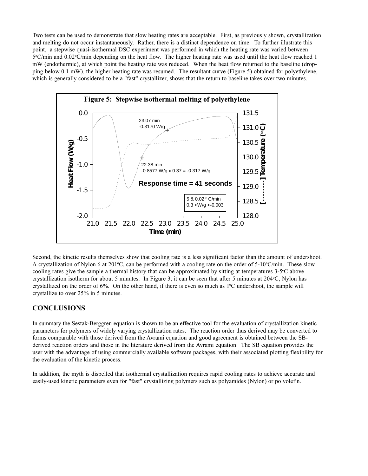Two tests can be used to demonstrate that slow heating rates are acceptable. First, as previously shown, crystallization and melting do not occur instantaneously. Rather, there is a distinct dependence on time. To further illustrate this point, a stepwise quasi-isothermal DSC experiment was performed in which the heating rate was varied between 5°C/min and 0.02°C/min depending on the heat flow. The higher heating rate was used until the heat flow reached 1 mW (endothermic), at which point the heating rate was reduced. When the heat flow returned to the baseline (dropping below 0.1 mW), the higher heating rate was resumed. The resultant curve (Figure 5) obtained for polyethylene, which is generally considered to be a "fast" crystallizer, shows that the return to baseline takes over two minutes.



Second, the kinetic results themselves show that cooling rate is a less significant factor than the amount of undershoot. A crystallization of Nylon 6 at 201°C, can be performed with a cooling rate on the order of 5-10°C/min. These slow cooling rates give the sample a thermal history that can be approximated by sitting at temperatures 3-5°C above crystallization isotherm for about 5 minutes. In Figure 3, it can be seen that after 5 minutes at 204°C, Nylon has crystallized on the order of 6%. On the other hand, if there is even so much as 1°C undershoot, the sample will crystallize to over 25% in 5 minutes.

# **CONCLUSIONS**

In summary the Sestak-Berggren equation is shown to be an effective tool for the evaluation of crystallization kinetic parameters for polymers of widely varying crystallization rates. The reaction order thus derived may be converted to forms comparable with those derived from the Avrami equation and good agreement is obtained between the SBderived reaction orders and those in the literature derived from the Avrami equation. The SB equation provides the user with the advantage of using commercially available software packages, with their associated plotting flexibility for the evaluation of the kinetic process.

In addition, the myth is dispelled that isothermal crystallization requires rapid cooling rates to achieve accurate and easily-used kinetic parameters even for "fast" crystallizing polymers such as polyamides (Nylon) or polyolefin.